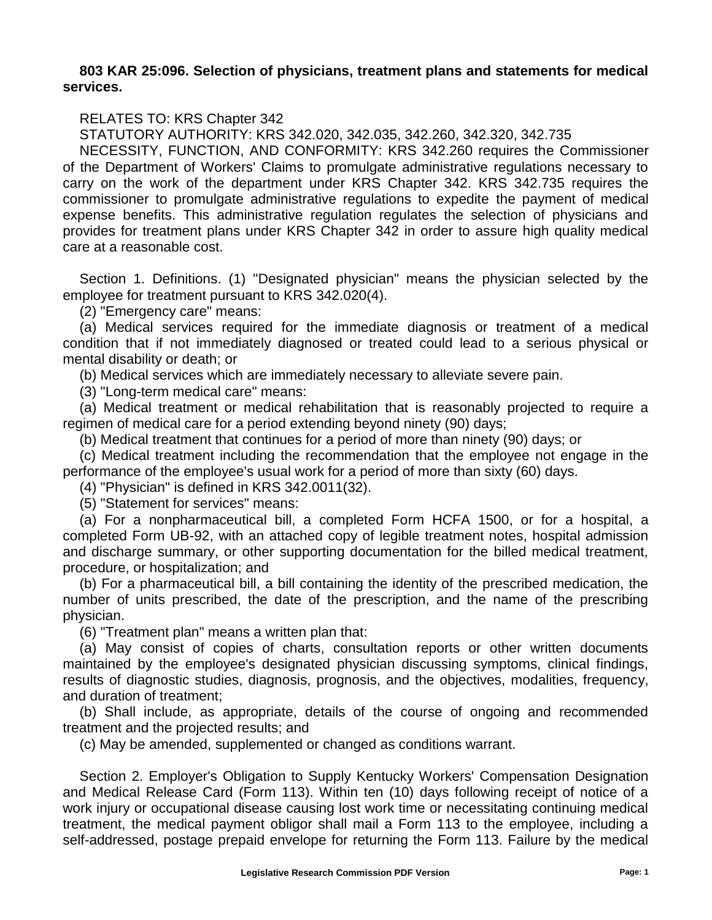## **803 KAR 25:096. Selection of physicians, treatment plans and statements for medical services.**

## RELATES TO: KRS Chapter 342

STATUTORY AUTHORITY: KRS 342.020, 342.035, 342.260, 342.320, 342.735

NECESSITY, FUNCTION, AND CONFORMITY: KRS 342.260 requires the Commissioner of the Department of Workers' Claims to promulgate administrative regulations necessary to carry on the work of the department under KRS Chapter 342. KRS 342.735 requires the commissioner to promulgate administrative regulations to expedite the payment of medical expense benefits. This administrative regulation regulates the selection of physicians and provides for treatment plans under KRS Chapter 342 in order to assure high quality medical care at a reasonable cost.

Section 1. Definitions. (1) "Designated physician" means the physician selected by the employee for treatment pursuant to KRS 342.020(4).

(2) "Emergency care" means:

(a) Medical services required for the immediate diagnosis or treatment of a medical condition that if not immediately diagnosed or treated could lead to a serious physical or mental disability or death; or

(b) Medical services which are immediately necessary to alleviate severe pain.

(3) "Long-term medical care" means:

(a) Medical treatment or medical rehabilitation that is reasonably projected to require a regimen of medical care for a period extending beyond ninety (90) days;

(b) Medical treatment that continues for a period of more than ninety (90) days; or

(c) Medical treatment including the recommendation that the employee not engage in the performance of the employee's usual work for a period of more than sixty (60) days.

(4) "Physician" is defined in KRS 342.0011(32).

(5) "Statement for services" means:

(a) For a nonpharmaceutical bill, a completed Form HCFA 1500, or for a hospital, a completed Form UB-92, with an attached copy of legible treatment notes, hospital admission and discharge summary, or other supporting documentation for the billed medical treatment, procedure, or hospitalization; and

(b) For a pharmaceutical bill, a bill containing the identity of the prescribed medication, the number of units prescribed, the date of the prescription, and the name of the prescribing physician.

(6) "Treatment plan" means a written plan that:

(a) May consist of copies of charts, consultation reports or other written documents maintained by the employee's designated physician discussing symptoms, clinical findings, results of diagnostic studies, diagnosis, prognosis, and the objectives, modalities, frequency, and duration of treatment;

(b) Shall include, as appropriate, details of the course of ongoing and recommended treatment and the projected results; and

(c) May be amended, supplemented or changed as conditions warrant.

Section 2. Employer's Obligation to Supply Kentucky Workers' Compensation Designation and Medical Release Card (Form 113). Within ten (10) days following receipt of notice of a work injury or occupational disease causing lost work time or necessitating continuing medical treatment, the medical payment obligor shall mail a Form 113 to the employee, including a self-addressed, postage prepaid envelope for returning the Form 113. Failure by the medical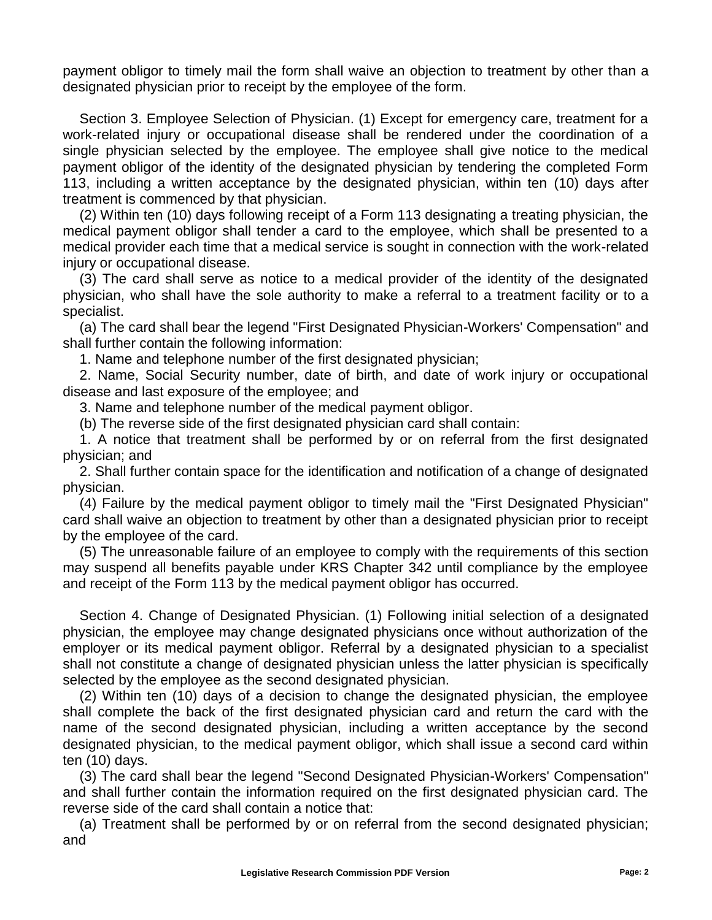payment obligor to timely mail the form shall waive an objection to treatment by other than a designated physician prior to receipt by the employee of the form.

Section 3. Employee Selection of Physician. (1) Except for emergency care, treatment for a work-related injury or occupational disease shall be rendered under the coordination of a single physician selected by the employee. The employee shall give notice to the medical payment obligor of the identity of the designated physician by tendering the completed Form 113, including a written acceptance by the designated physician, within ten (10) days after treatment is commenced by that physician.

(2) Within ten (10) days following receipt of a Form 113 designating a treating physician, the medical payment obligor shall tender a card to the employee, which shall be presented to a medical provider each time that a medical service is sought in connection with the work-related injury or occupational disease.

(3) The card shall serve as notice to a medical provider of the identity of the designated physician, who shall have the sole authority to make a referral to a treatment facility or to a specialist.

(a) The card shall bear the legend "First Designated Physician-Workers' Compensation" and shall further contain the following information:

1. Name and telephone number of the first designated physician;

2. Name, Social Security number, date of birth, and date of work injury or occupational disease and last exposure of the employee; and

3. Name and telephone number of the medical payment obligor.

(b) The reverse side of the first designated physician card shall contain:

1. A notice that treatment shall be performed by or on referral from the first designated physician; and

2. Shall further contain space for the identification and notification of a change of designated physician.

(4) Failure by the medical payment obligor to timely mail the "First Designated Physician" card shall waive an objection to treatment by other than a designated physician prior to receipt by the employee of the card.

(5) The unreasonable failure of an employee to comply with the requirements of this section may suspend all benefits payable under KRS Chapter 342 until compliance by the employee and receipt of the Form 113 by the medical payment obligor has occurred.

Section 4. Change of Designated Physician. (1) Following initial selection of a designated physician, the employee may change designated physicians once without authorization of the employer or its medical payment obligor. Referral by a designated physician to a specialist shall not constitute a change of designated physician unless the latter physician is specifically selected by the employee as the second designated physician.

(2) Within ten (10) days of a decision to change the designated physician, the employee shall complete the back of the first designated physician card and return the card with the name of the second designated physician, including a written acceptance by the second designated physician, to the medical payment obligor, which shall issue a second card within ten (10) days.

(3) The card shall bear the legend "Second Designated Physician-Workers' Compensation" and shall further contain the information required on the first designated physician card. The reverse side of the card shall contain a notice that:

(a) Treatment shall be performed by or on referral from the second designated physician; and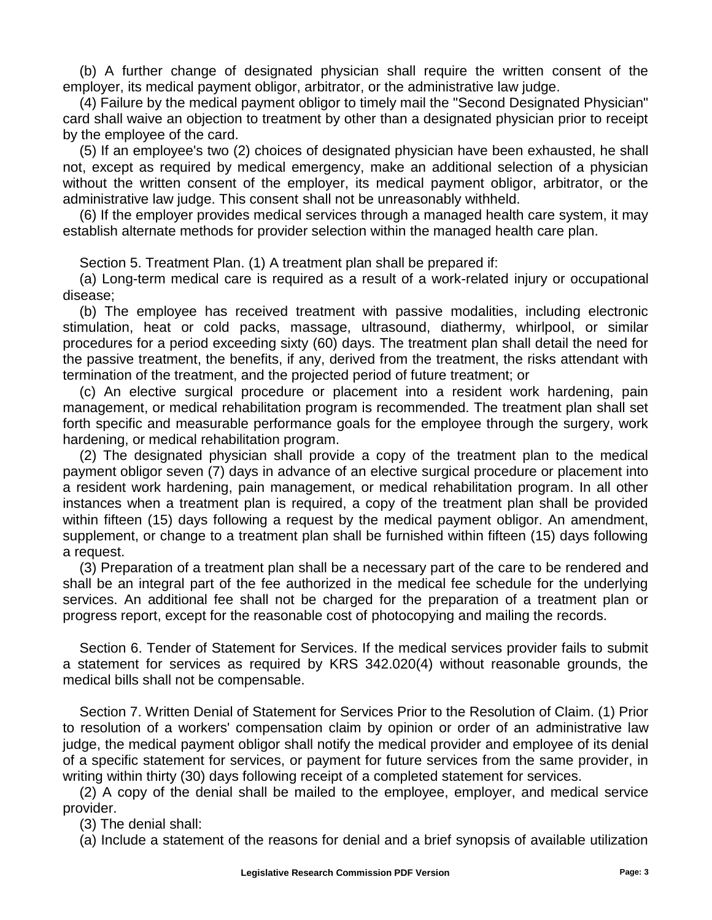(b) A further change of designated physician shall require the written consent of the employer, its medical payment obligor, arbitrator, or the administrative law judge.

(4) Failure by the medical payment obligor to timely mail the "Second Designated Physician" card shall waive an objection to treatment by other than a designated physician prior to receipt by the employee of the card.

(5) If an employee's two (2) choices of designated physician have been exhausted, he shall not, except as required by medical emergency, make an additional selection of a physician without the written consent of the employer, its medical payment obligor, arbitrator, or the administrative law judge. This consent shall not be unreasonably withheld.

(6) If the employer provides medical services through a managed health care system, it may establish alternate methods for provider selection within the managed health care plan.

Section 5. Treatment Plan. (1) A treatment plan shall be prepared if:

(a) Long-term medical care is required as a result of a work-related injury or occupational disease;

(b) The employee has received treatment with passive modalities, including electronic stimulation, heat or cold packs, massage, ultrasound, diathermy, whirlpool, or similar procedures for a period exceeding sixty (60) days. The treatment plan shall detail the need for the passive treatment, the benefits, if any, derived from the treatment, the risks attendant with termination of the treatment, and the projected period of future treatment; or

(c) An elective surgical procedure or placement into a resident work hardening, pain management, or medical rehabilitation program is recommended. The treatment plan shall set forth specific and measurable performance goals for the employee through the surgery, work hardening, or medical rehabilitation program.

(2) The designated physician shall provide a copy of the treatment plan to the medical payment obligor seven (7) days in advance of an elective surgical procedure or placement into a resident work hardening, pain management, or medical rehabilitation program. In all other instances when a treatment plan is required, a copy of the treatment plan shall be provided within fifteen (15) days following a request by the medical payment obligor. An amendment, supplement, or change to a treatment plan shall be furnished within fifteen (15) days following a request.

(3) Preparation of a treatment plan shall be a necessary part of the care to be rendered and shall be an integral part of the fee authorized in the medical fee schedule for the underlying services. An additional fee shall not be charged for the preparation of a treatment plan or progress report, except for the reasonable cost of photocopying and mailing the records.

Section 6. Tender of Statement for Services. If the medical services provider fails to submit a statement for services as required by KRS 342.020(4) without reasonable grounds, the medical bills shall not be compensable.

Section 7. Written Denial of Statement for Services Prior to the Resolution of Claim. (1) Prior to resolution of a workers' compensation claim by opinion or order of an administrative law judge, the medical payment obligor shall notify the medical provider and employee of its denial of a specific statement for services, or payment for future services from the same provider, in writing within thirty (30) days following receipt of a completed statement for services.

(2) A copy of the denial shall be mailed to the employee, employer, and medical service provider.

(3) The denial shall:

(a) Include a statement of the reasons for denial and a brief synopsis of available utilization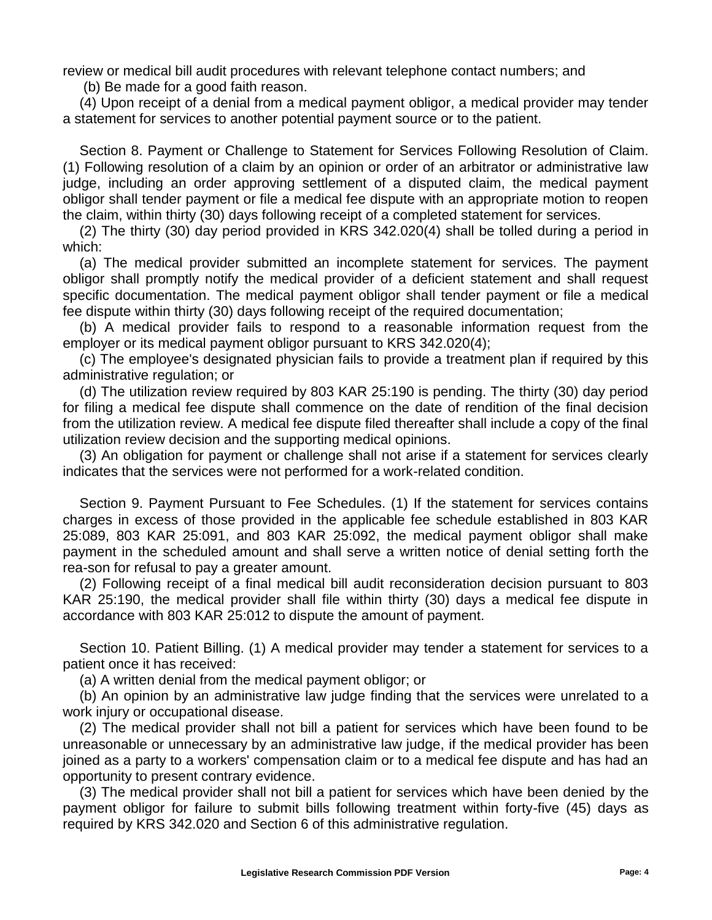review or medical bill audit procedures with relevant telephone contact numbers; and

(b) Be made for a good faith reason.

(4) Upon receipt of a denial from a medical payment obligor, a medical provider may tender a statement for services to another potential payment source or to the patient.

Section 8. Payment or Challenge to Statement for Services Following Resolution of Claim. (1) Following resolution of a claim by an opinion or order of an arbitrator or administrative law judge, including an order approving settlement of a disputed claim, the medical payment obligor shall tender payment or file a medical fee dispute with an appropriate motion to reopen the claim, within thirty (30) days following receipt of a completed statement for services.

(2) The thirty (30) day period provided in KRS 342.020(4) shall be tolled during a period in which:

(a) The medical provider submitted an incomplete statement for services. The payment obligor shall promptly notify the medical provider of a deficient statement and shall request specific documentation. The medical payment obligor shall tender payment or file a medical fee dispute within thirty (30) days following receipt of the required documentation;

(b) A medical provider fails to respond to a reasonable information request from the employer or its medical payment obligor pursuant to KRS 342.020(4);

(c) The employee's designated physician fails to provide a treatment plan if required by this administrative regulation; or

(d) The utilization review required by 803 KAR 25:190 is pending. The thirty (30) day period for filing a medical fee dispute shall commence on the date of rendition of the final decision from the utilization review. A medical fee dispute filed thereafter shall include a copy of the final utilization review decision and the supporting medical opinions.

(3) An obligation for payment or challenge shall not arise if a statement for services clearly indicates that the services were not performed for a work-related condition.

Section 9. Payment Pursuant to Fee Schedules. (1) If the statement for services contains charges in excess of those provided in the applicable fee schedule established in 803 KAR 25:089, 803 KAR 25:091, and 803 KAR 25:092, the medical payment obligor shall make payment in the scheduled amount and shall serve a written notice of denial setting forth the rea-son for refusal to pay a greater amount.

(2) Following receipt of a final medical bill audit reconsideration decision pursuant to 803 KAR 25:190, the medical provider shall file within thirty (30) days a medical fee dispute in accordance with 803 KAR 25:012 to dispute the amount of payment.

Section 10. Patient Billing. (1) A medical provider may tender a statement for services to a patient once it has received:

(a) A written denial from the medical payment obligor; or

(b) An opinion by an administrative law judge finding that the services were unrelated to a work injury or occupational disease.

(2) The medical provider shall not bill a patient for services which have been found to be unreasonable or unnecessary by an administrative law judge, if the medical provider has been joined as a party to a workers' compensation claim or to a medical fee dispute and has had an opportunity to present contrary evidence.

(3) The medical provider shall not bill a patient for services which have been denied by the payment obligor for failure to submit bills following treatment within forty-five (45) days as required by KRS 342.020 and Section 6 of this administrative regulation.